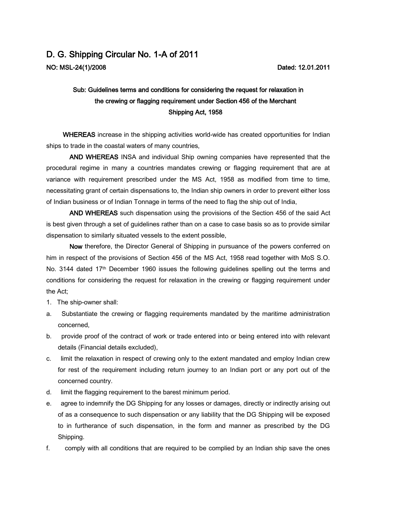## D. G. Shipping Circular No. 1-A of 2011 NO: MSL-24(1)/2008

## Sub: Guidelines terms and conditions for considering the request for relaxation in the crewing or flagging requirement under Section 456 of the Merchant Shipping Act, 1958

WHEREAS increase in the shipping activities world-wide has created opportunities for Indian ships to trade in the coastal waters of many countries,

AND WHEREAS INSA and individual Ship owning companies have represented that the procedural regime in many a countries mandates crewing or flagging requirement that are at variance with requirement prescribed under the MS Act, 1958 as modified from time to time, necessitating grant of certain dispensations to, the Indian ship owners in order to prevent either loss of Indian business or of Indian Tonnage in terms of the need to flag the ship out of India,

AND WHEREAS such dispensation using the provisions of the Section 456 of the said Act is best given through a set of guidelines rather than on a case to case basis so as to provide similar dispensation to similarly situated vessels to the extent possible,

Now therefore, the Director General of Shipping in pursuance of the powers conferred on him in respect of the provisions of Section 456 of the MS Act, 1958 read together with MoS S.O. No. 3144 dated 17<sup>th</sup> December 1960 issues the following guidelines spelling out the terms and conditions for considering the request for relaxation in the crewing or flagging requirement under the Act;

- 1. The ship-owner shall:
- a. Substantiate the crewing or flagging requirements mandated by the maritime administration concerned,
- b. provide proof of the contract of work or trade entered into or being entered into with relevant details (Financial details excluded),
- c. limit the relaxation in respect of crewing only to the extent mandated and employ Indian crew for rest of the requirement including return journey to an Indian port or any port out of the concerned country.
- d. limit the flagging requirement to the barest minimum period.
- e. agree to indemnify the DG Shipping for any losses or damages, directly or indirectly arising out of as a consequence to such dispensation or any liability that the DG Shipping will be exposed to in furtherance of such dispensation, in the form and manner as prescribed by the DG Shipping.
- f. comply with all conditions that are required to be complied by an Indian ship save the ones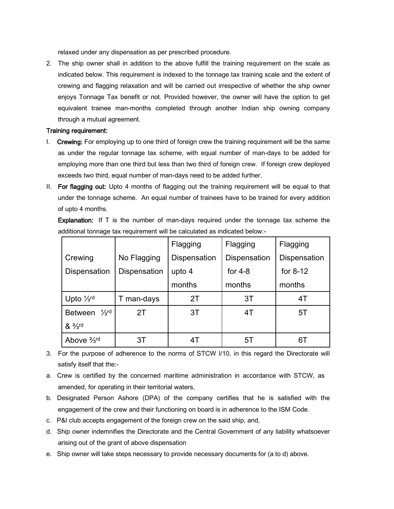relaxed under any dispensation as per prescribed procedure.

2. The ship owner shall in addition to the above fulfill the training requirement on the scale as indicated below. This requirement is indexed to the tonnage tax training scale and the extent of crewing and flagging relaxation and will be carried out irrespective of whether the ship owner enjoys Tonnage Tax benefit or not. Provided however, the owner will have the option to get equivalent trainee man-months completed through another Indian ship owning company through a mutual agreement.

## Training requirement:

- I. Crewing: For employing up to one third of foreign crew the training requirement will be the same as under the regular tonnage tax scheme, with equal number of man-days to be added for employing more than one third but less than two third of foreign crew. If foreign crew deployed exceeds two third, equal number of man-days need to be added further.
- II. For flagging out: Upto 4 months of flagging out the training requirement will be equal to that under the tonnage scheme. An equal number of trainees have to be trained for every addition of upto 4 months.

**Explanation:** If  $T$  is the number of man-days required under the tonnage tax scheme the additional tonnage tax requirement will be calculated as indicated below:-

|                                    |              | Flagging     | Flagging     | Flagging     |
|------------------------------------|--------------|--------------|--------------|--------------|
| Crewing                            | No Flagging  | Dispensation | Dispensation | Dispensation |
| Dispensation                       | Dispensation | upto 4       | for $4-8$    | for $8-12$   |
|                                    |              | months       | months       | months       |
| Upto $\frac{1}{3}$ rd              | T man-days   | 2T           | 3T           | 4T           |
| $\frac{1}{3}$ rd<br><b>Between</b> | 2T           | 3T           | 4T           | 5T           |
| $8^{2/3}$ rd                       |              |              |              |              |
| Above $\frac{2}{3}$ rd             | 3T           | 4T           | 5Τ           | 67           |

- 3. For the purpose of adherence to the norms of STCW I/10, in this regard the Directorate will satisfy itself that the:-
- a. Crew is certified by the concerned maritime administration in accordance with STCW, as amended, for operating in their territorial waters,
- b. Designated Person Ashore (DPA) of the company certifies that he is satisfied with the engagement of the crew and their functioning on board is in adherence to the ISM Code.
- c. P&I club accepts engagement of the foreign crew on the said ship, and,
- d. Ship owner indemnifies the Directorate and the Central Government of any liability whatsoever arising out of the grant of above dispensation
- e. Ship owner will take steps necessary to provide necessary documents for (a to d) above.